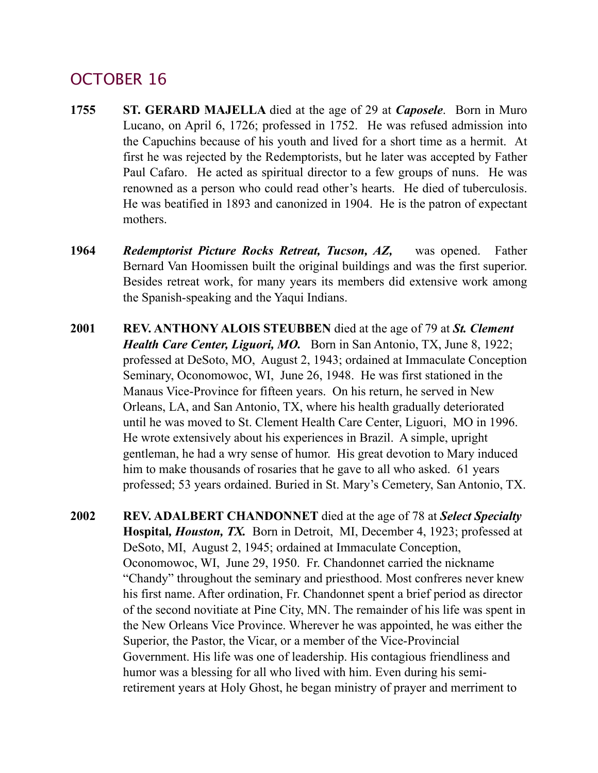**2002 REV. ADALBERT CHANDONNET** died at the age of 78 at *Select Specialty*  **Hospital***, Houston, TX.* Born in Detroit, MI, December 4, 1923; professed at DeSoto, MI, August 2, 1945; ordained at Immaculate Conception, Oconomowoc, WI, June 29, 1950. Fr. Chandonnet carried the nickname "Chandy" throughout the seminary and priesthood. Most confreres never knew his first name. After ordination, Fr. Chandonnet spent a brief period as director of the second novitiate at Pine City, MN. The remainder of his life was spent in the New Orleans Vice Province. Wherever he was appointed, he was either the Superior, the Pastor, the Vicar, or a member of the Vice-Provincial Government. His life was one of leadership. His contagious friendliness and humor was a blessing for all who lived with him. Even during his semiretirement years at Holy Ghost, he began ministry of prayer and merriment to